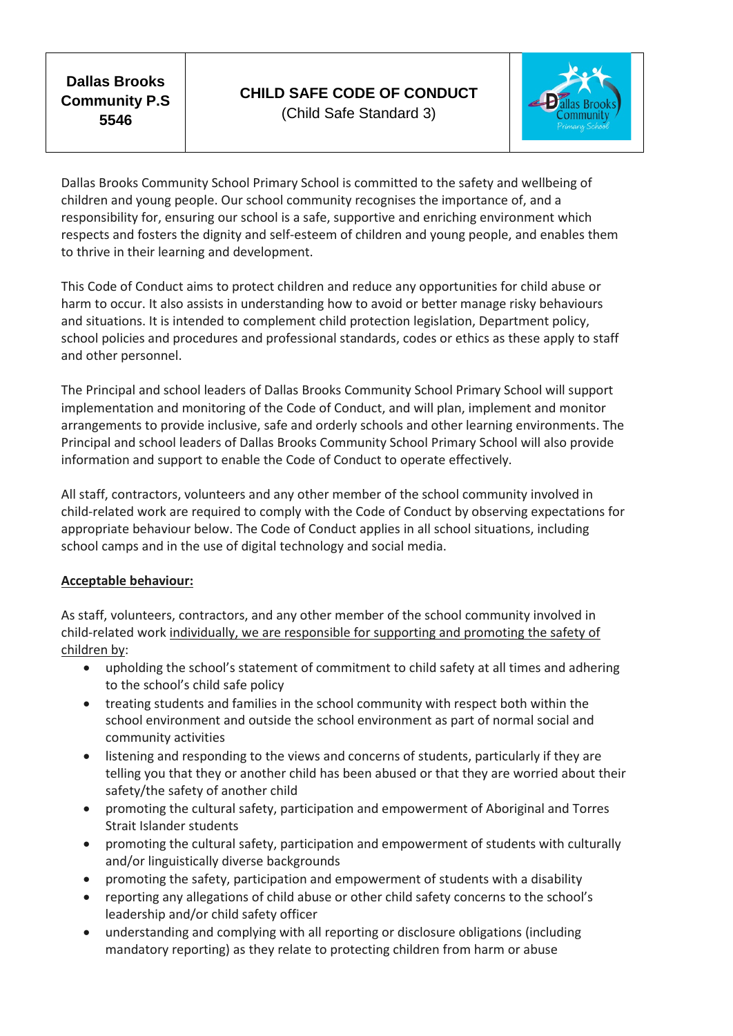**Dallas Brooks Community P.S 5546**



Dallas Brooks Community School Primary School is committed to the safety and wellbeing of children and young people. Our school community recognises the importance of, and a responsibility for, ensuring our school is a safe, supportive and enriching environment which respects and fosters the dignity and self-esteem of children and young people, and enables them to thrive in their learning and development.

This Code of Conduct aims to protect children and reduce any opportunities for child abuse or harm to occur. It also assists in understanding how to avoid or better manage risky behaviours and situations. It is intended to complement child protection legislation, Department policy, school policies and procedures and professional standards, codes or ethics as these apply to staff and other personnel.

The Principal and school leaders of Dallas Brooks Community School Primary School will support implementation and monitoring of the Code of Conduct, and will plan, implement and monitor arrangements to provide inclusive, safe and orderly schools and other learning environments. The Principal and school leaders of Dallas Brooks Community School Primary School will also provide information and support to enable the Code of Conduct to operate effectively.

All staff, contractors, volunteers and any other member of the school community involved in child-related work are required to comply with the Code of Conduct by observing expectations for appropriate behaviour below. The Code of Conduct applies in all school situations, including school camps and in the use of digital technology and social media.

## **Acceptable behaviour:**

As staff, volunteers, contractors, and any other member of the school community involved in child-related work individually, we are responsible for supporting and promoting the safety of children by:

- upholding the school's statement of commitment to child safety at all times and adhering to the school's child safe policy
- treating students and families in the school community with respect both within the school environment and outside the school environment as part of normal social and community activities
- listening and responding to the views and concerns of students, particularly if they are telling you that they or another child has been abused or that they are worried about their safety/the safety of another child
- promoting the cultural safety, participation and empowerment of Aboriginal and Torres Strait Islander students
- promoting the cultural safety, participation and empowerment of students with culturally and/or linguistically diverse backgrounds
- promoting the safety, participation and empowerment of students with a disability
- reporting any allegations of child abuse or other child safety concerns to the school's leadership and/or child safety officer
- understanding and complying with all reporting or disclosure obligations (including mandatory reporting) as they relate to protecting children from harm or abuse